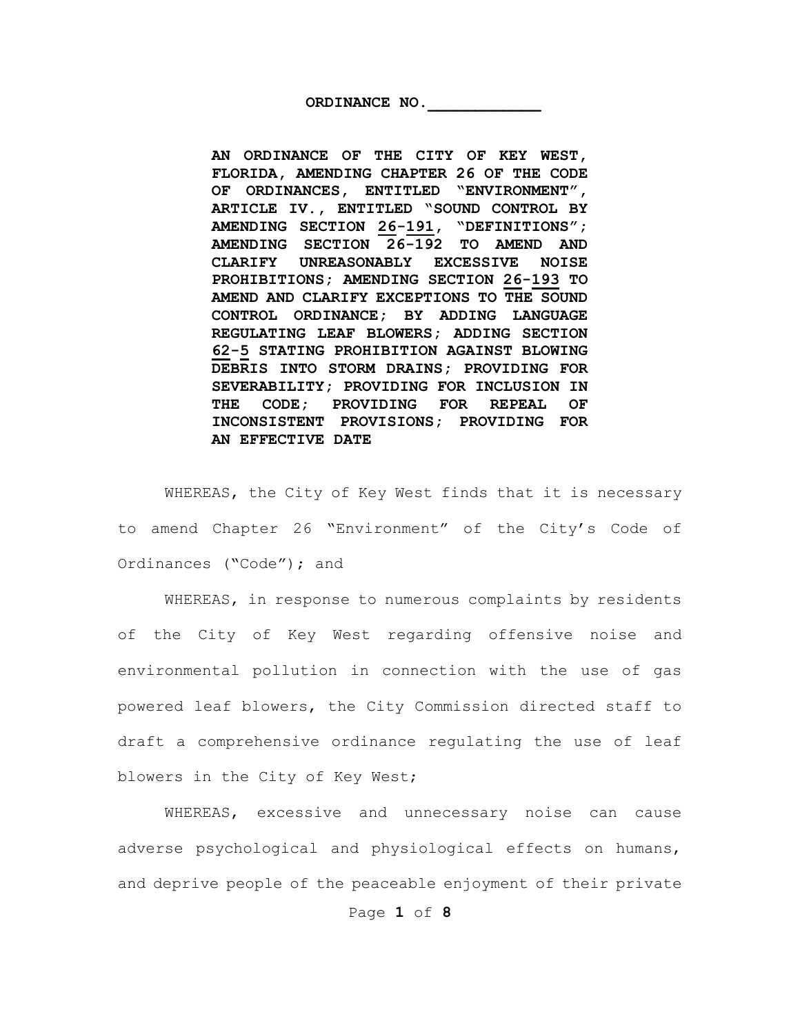ORDINANCE NO.

**AN ORDINANCE OF THE CITY OF KEY WEST, FLORIDA, AMENDING CHAPTER 26 OF THE CODE OF ORDINANCES, ENTITLED "ENVIRONMENT", ARTICLE IV., ENTITLED "SOUND CONTROL BY AMENDING SECTION 26-191, "DEFINITIONS"; AMENDING SECTION 26-192 TO AMEND AND CLARIFY UNREASONABLY EXCESSIVE NOISE PROHIBITIONS; AMENDING SECTION 26-193 TO AMEND AND CLARIFY EXCEPTIONS TO THE SOUND CONTROL ORDINANCE; BY ADDING LANGUAGE REGULATING LEAF BLOWERS; ADDING SECTION 62-5 STATING PROHIBITION AGAINST BLOWING DEBRIS INTO STORM DRAINS; PROVIDING FOR SEVERABILITY; PROVIDING FOR INCLUSION IN THE CODE; PROVIDING FOR REPEAL OF INCONSISTENT PROVISIONS; PROVIDING FOR AN EFFECTIVE DATE**

WHEREAS, the City of Key West finds that it is necessary to amend Chapter 26 "Environment" of the City's Code of Ordinances ("Code"); and

WHEREAS, in response to numerous complaints by residents of the City of Key West regarding offensive noise and environmental pollution in connection with the use of gas powered leaf blowers, the City Commission directed staff to draft a comprehensive ordinance regulating the use of leaf blowers in the City of Key West;

WHEREAS, excessive and unnecessary noise can cause adverse psychological and physiological effects on humans, and deprive people of the peaceable enjoyment of their private

Page **1** of **8**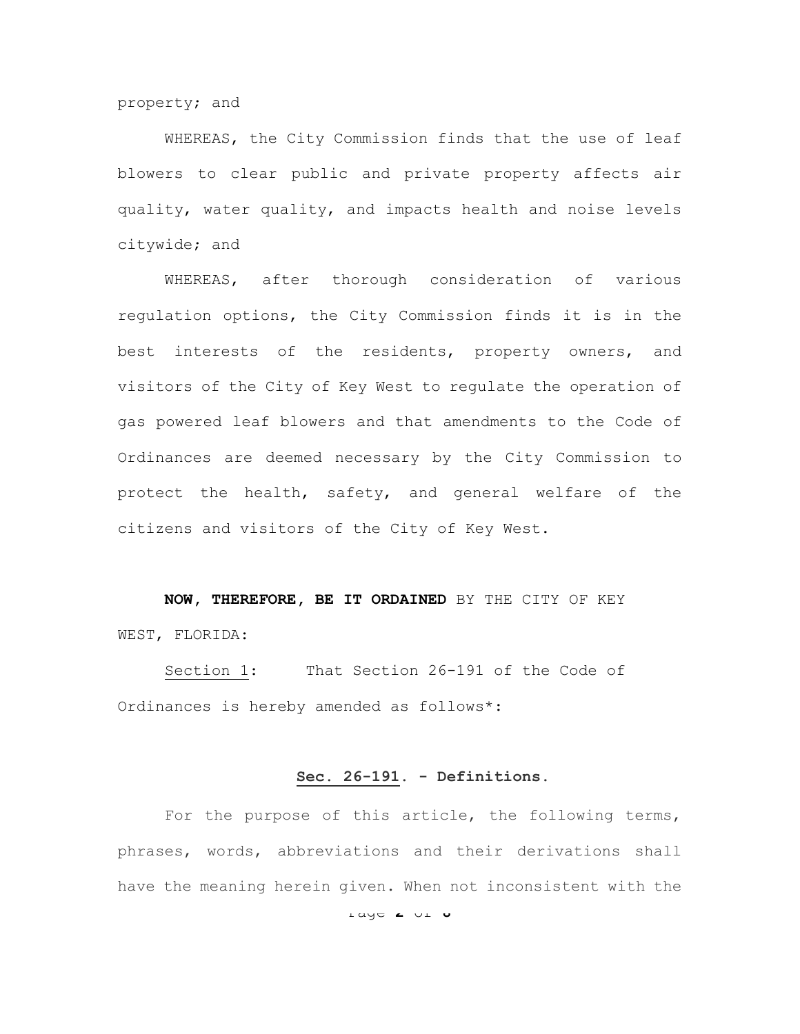property; and

WHEREAS, the City Commission finds that the use of leaf blowers to clear public and private property affects air quality, water quality, and impacts health and noise levels citywide; and

WHEREAS, after thorough consideration of various regulation options, the City Commission finds it is in the best interests of the residents, property owners, and visitors of the City of Key West to regulate the operation of gas powered leaf blowers and that amendments to the Code of Ordinances are deemed necessary by the City Commission to protect the health, safety, and general welfare of the citizens and visitors of the City of Key West.

**NOW, THEREFORE, BE IT ORDAINED** BY THE CITY OF KEY WEST, FLORIDA:

Section 1: That Section 26-191 of the Code of Ordinances is hereby amended as follows\*:

### **Sec. 26-191. - Definitions.**

For the purpose of this article, the following terms, phrases, words, abbreviations and their derivations shall have the meaning herein given. When not inconsistent with the

Page **2** of **8**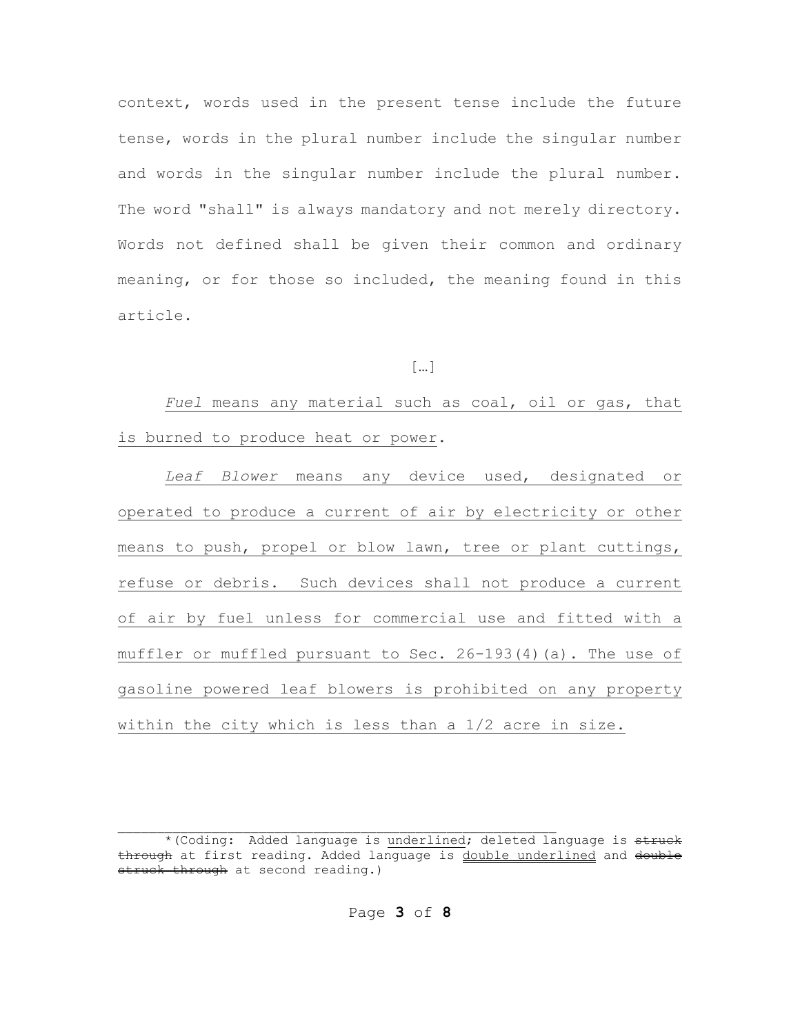context, words used in the present tense include the future tense, words in the plural number include the singular number and words in the singular number include the plural number. The word "shall" is always mandatory and not merely directory. Words not defined shall be given their common and ordinary meaning, or for those so included, the meaning found in this article.

## […]

*Fuel* means any material such as coal, oil or gas, that is burned to produce heat or power.

*Leaf Blower* means any device used, designated or operated to produce a current of air by electricity or other means to push, propel or blow lawn, tree or plant cuttings, refuse or debris. Such devices shall not produce a current of air by fuel unless for commercial use and fitted with a muffler or muffled pursuant to Sec. 26-193(4)(a). The use of gasoline powered leaf blowers is prohibited on any property within the city which is less than a 1/2 acre in size.

Page **3** of **8**

<sup>\*(</sup>Coding: Added language is underlined; deleted language is struck through at first reading. Added language is double underlined and double otruck through at second reading.)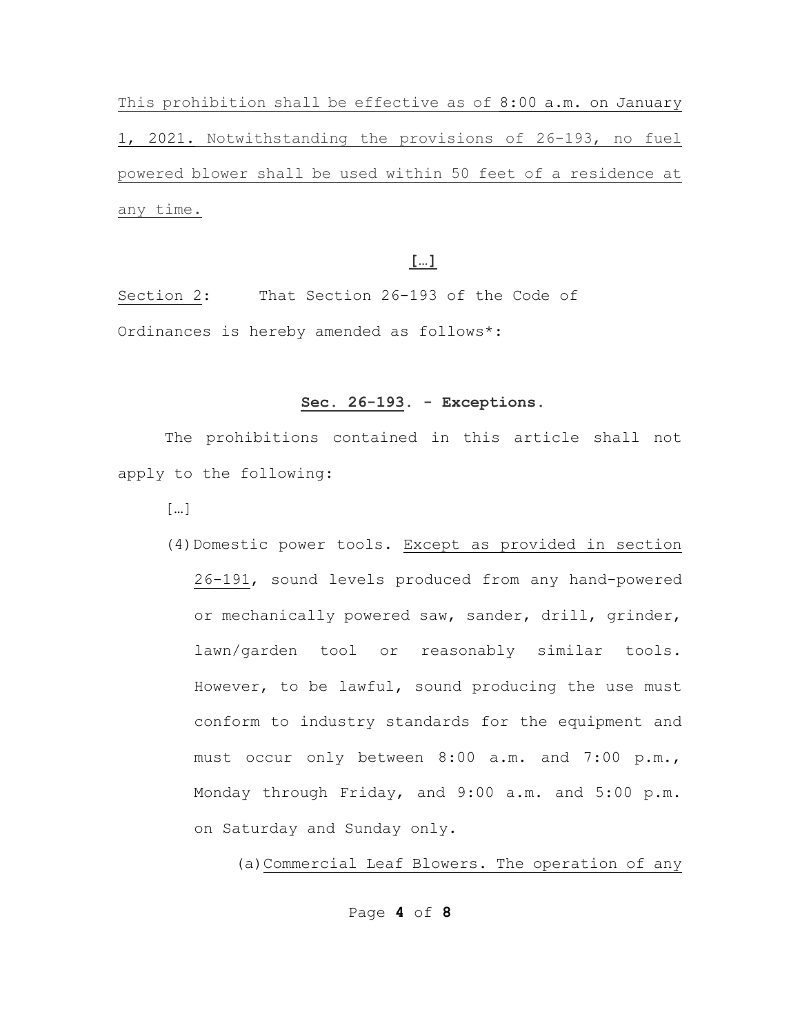This prohibition shall be effective as of 8:00 a.m. on January 1, 2021. Notwithstanding the provisions of 26-193, no fuel powered blower shall be used within 50 feet of a residence at any time.

# **[…]**

Section 2: That Section 26-193 of the Code of Ordinances is hereby amended as follows\*:

#### **Sec. 26-193. - Exceptions.**

The prohibitions contained in this article shall not apply to the following:

[…]

(4)Domestic power tools. Except as provided in section 26-191, sound levels produced from any hand-powered or mechanically powered saw, sander, drill, grinder, lawn/garden tool or reasonably similar tools. However, to be lawful, sound producing the use must conform to industry standards for the equipment and must occur only between 8:00 a.m. and 7:00 p.m., Monday through Friday, and 9:00 a.m. and 5:00 p.m. on Saturday and Sunday only.

(a)Commercial Leaf Blowers. The operation of any

Page **4** of **8**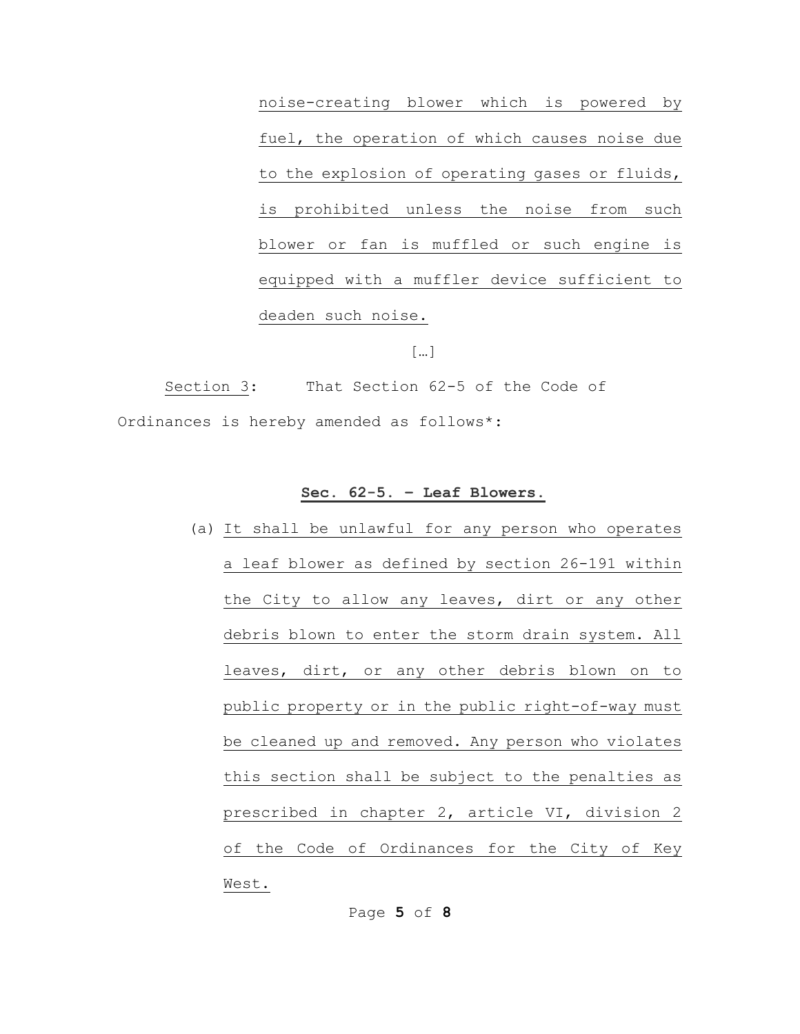noise-creating blower which is powered by fuel, the operation of which causes noise due to the explosion of operating gases or fluids, is prohibited unless the noise from such blower or fan is muffled or such engine is equipped with a muffler device sufficient to deaden such noise.

[…]

Section 3: That Section 62-5 of the Code of Ordinances is hereby amended as follows\*:

#### **Sec. 62-5. – Leaf Blowers.**

(a) It shall be unlawful for any person who operates a leaf blower as defined by section 26-191 within the City to allow any leaves, dirt or any other debris blown to enter the storm drain system. All leaves, dirt, or any other debris blown on to public property or in the public right-of-way must be cleaned up and removed. Any person who violates this section shall be subject to the penalties as prescribed in chapter 2, article VI, division 2 of the Code of Ordinances for the City of Key West.

Page **5** of **8**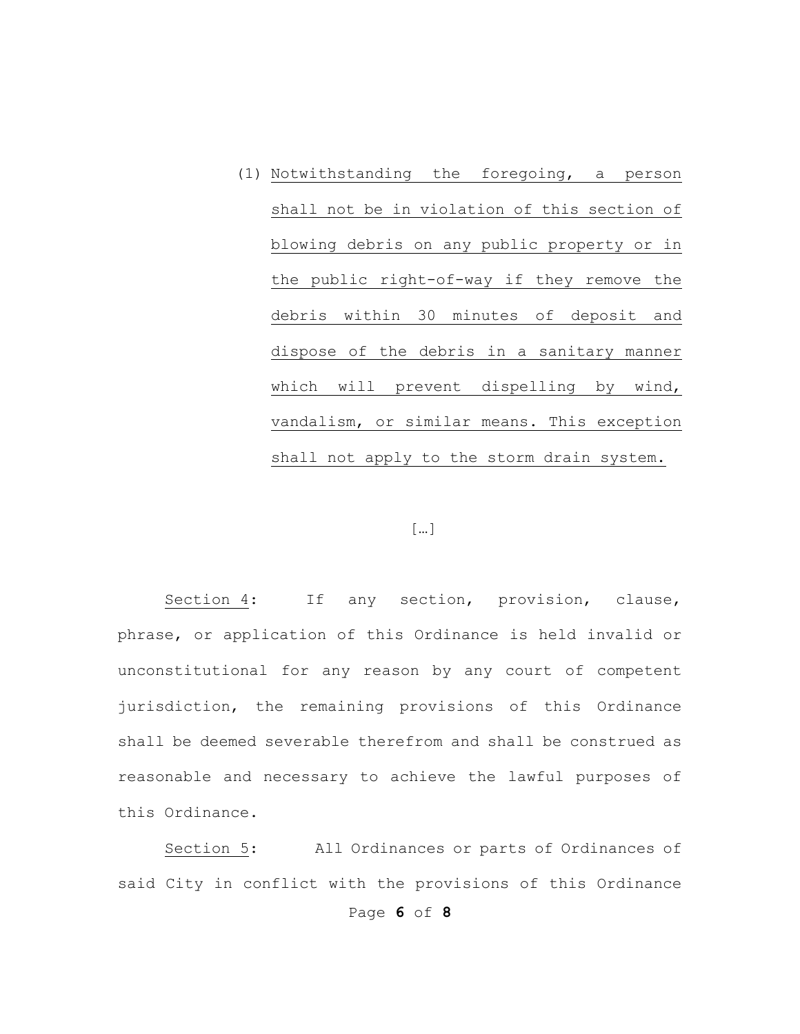(1) Notwithstanding the foregoing, a person shall not be in violation of this section of blowing debris on any public property or in the public right-of-way if they remove the debris within 30 minutes of deposit and dispose of the debris in a sanitary manner which will prevent dispelling by wind, vandalism, or similar means. This exception shall not apply to the storm drain system.

## […]

Section 4: If any section, provision, clause, phrase, or application of this Ordinance is held invalid or unconstitutional for any reason by any court of competent jurisdiction, the remaining provisions of this Ordinance shall be deemed severable therefrom and shall be construed as reasonable and necessary to achieve the lawful purposes of this Ordinance.

Section 5: All Ordinances or parts of Ordinances of said City in conflict with the provisions of this Ordinance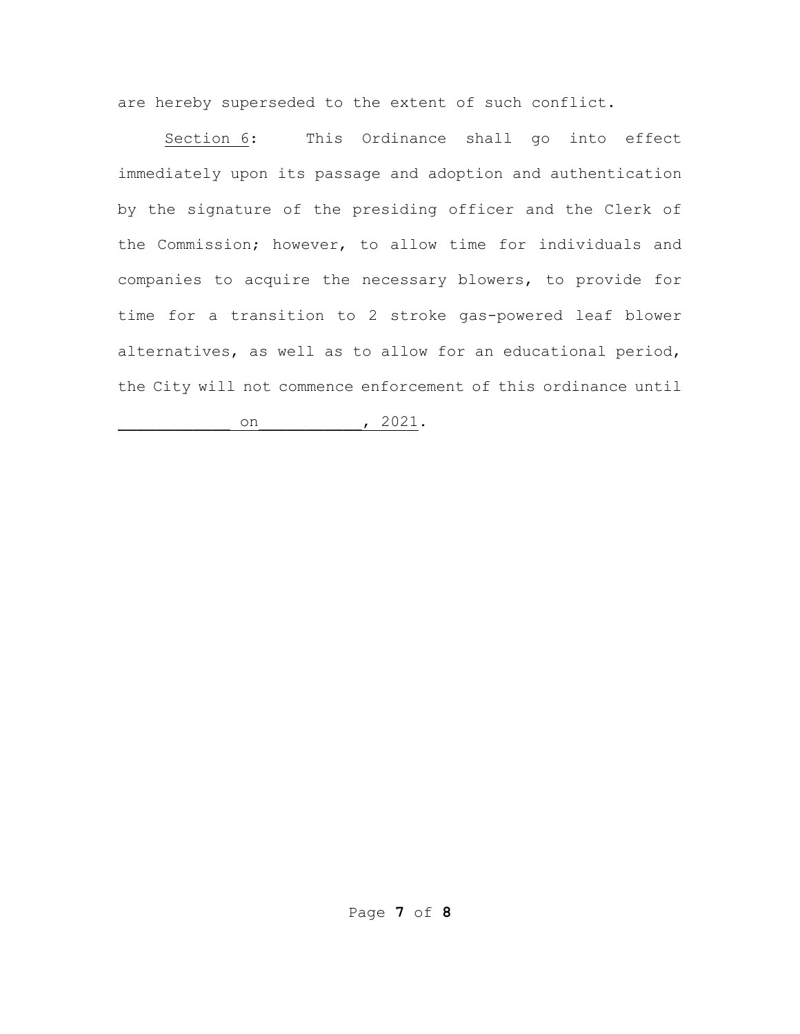are hereby superseded to the extent of such conflict.

Section 6: This Ordinance shall go into effect immediately upon its passage and adoption and authentication by the signature of the presiding officer and the Clerk of the Commission; however, to allow time for individuals and companies to acquire the necessary blowers, to provide for time for a transition to 2 stroke gas-powered leaf blower alternatives, as well as to allow for an educational period, the City will not commence enforcement of this ordinance until

 $\circ$ n (1921).